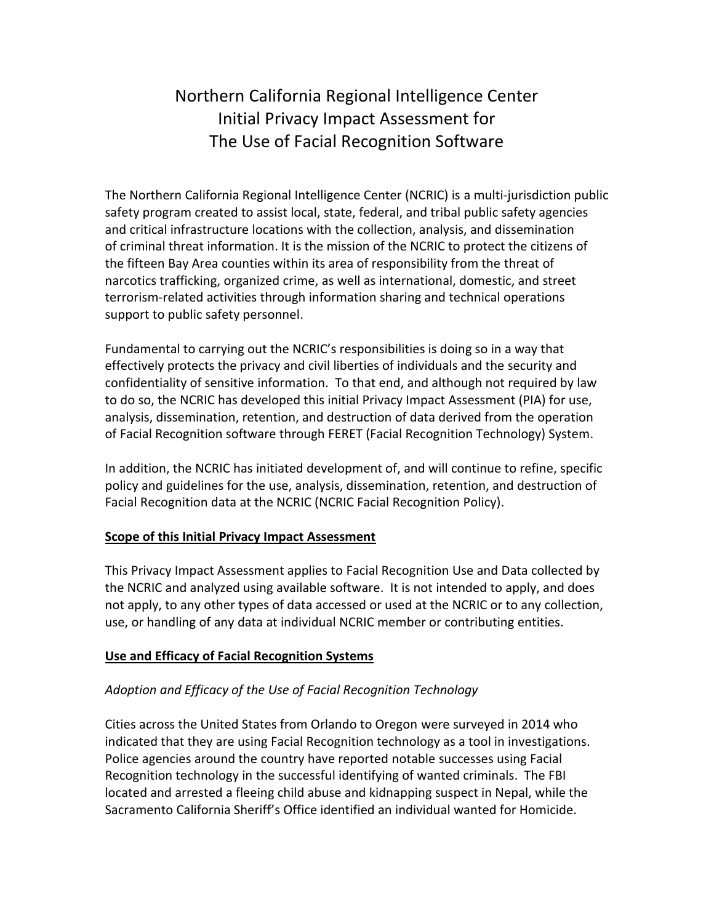# Northern California Regional Intelligence Center Initial Privacy Impact Assessment for The Use of Facial Recognition Software

The Northern California Regional Intelligence Center (NCRIC) is a multi-jurisdiction public safety program created to assist local, state, federal, and tribal public safety agencies and critical infrastructure locations with the collection, analysis, and dissemination of criminal threat information. It is the mission of the NCRIC to protect the citizens of the fifteen Bay Area counties within its area of responsibility from the threat of narcotics trafficking, organized crime, as well as international, domestic, and street terrorism-related activities through information sharing and technical operations support to public safety personnel.

Fundamental to carrying out the NCRIC's responsibilities is doing so in a way that effectively protects the privacy and civil liberties of individuals and the security and confidentiality of sensitive information. To that end, and although not required by law to do so, the NCRIC has developed this initial Privacy Impact Assessment (PIA) for use, analysis, dissemination, retention, and destruction of data derived from the operation of Facial Recognition software through FERET (Facial Recognition Technology) System.

In addition, the NCRIC has initiated development of, and will continue to refine, specific policy and guidelines for the use, analysis, dissemination, retention, and destruction of Facial Recognition data at the NCRIC (NCRIC Facial Recognition Policy).

### **Scope of this Initial Privacy Impact Assessment**

This Privacy Impact Assessment applies to Facial Recognition Use and Data collected by the NCRIC and analyzed using available software. It is not intended to apply, and does not apply, to any other types of data accessed or used at the NCRIC or to any collection, use, or handling of any data at individual NCRIC member or contributing entities.

### **Use and Efficacy of Facial Recognition Systems**

### *Adoption and Efficacy of the Use of Facial Recognition Technology*

Cities across the United States from Orlando to Oregon were surveyed in 2014 who indicated that they are using Facial Recognition technology as a tool in investigations. Police agencies around the country have reported notable successes using Facial Recognition technology in the successful identifying of wanted criminals. The FBI located and arrested a fleeing child abuse and kidnapping suspect in Nepal, while the Sacramento California Sheriff's Office identified an individual wanted for Homicide.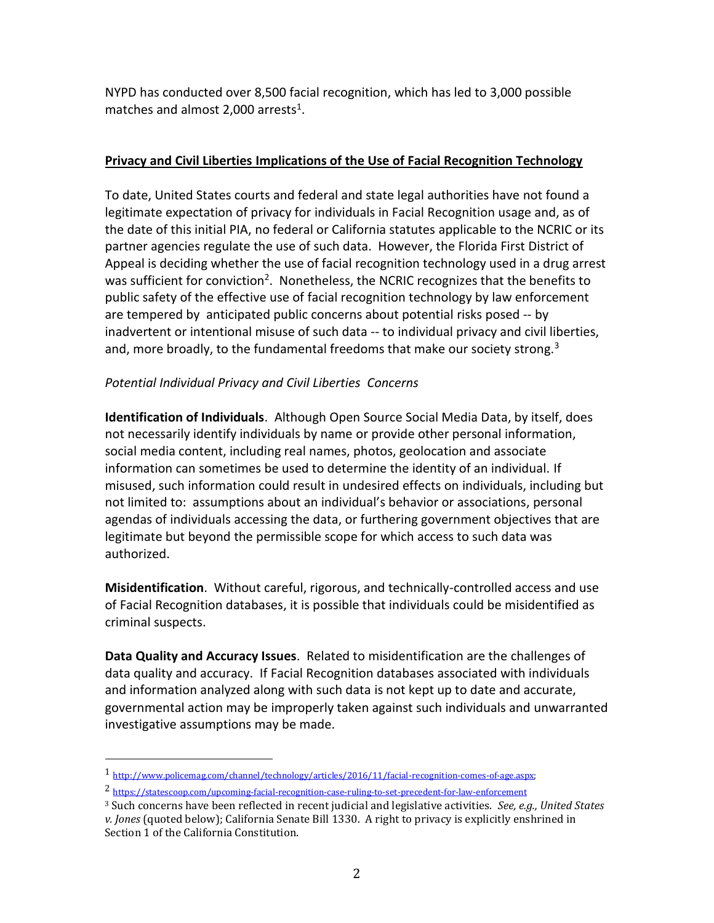NYPD has conducted over 8,500 facial recognition, which has led to 3,000 possible matches and almost 2,000 arrests<sup>1</sup>.

## **Privacy and Civil Liberties Implications of the Use of Facial Recognition Technology**

To date, United States courts and federal and state legal authorities have not found a legitimate expectation of privacy for individuals in Facial Recognition usage and, as of the date of this initial PIA, no federal or California statutes applicable to the NCRIC or its partner agencies regulate the use of such data. However, the Florida First District of Appeal is deciding whether the use of facial recognition technology used in a drug arrest was sufficient for conviction<sup>2</sup>. Nonetheless, the NCRIC recognizes that the benefits to public safety of the effective use of facial recognition technology by law enforcement are tempered by anticipated public concerns about potential risks posed -- by inadvertent or intentional misuse of such data -- to individual privacy and civil liberties, and, more broadly, to the fundamental freedoms that make our society strong.<sup>3</sup>

## *Potential Individual Privacy and Civil Liberties Concerns*

**Identification of Individuals**. Although Open Source Social Media Data, by itself, does not necessarily identify individuals by name or provide other personal information, social media content, including real names, photos, geolocation and associate information can sometimes be used to determine the identity of an individual. If misused, such information could result in undesired effects on individuals, including but not limited to: assumptions about an individual's behavior or associations, personal agendas of individuals accessing the data, or furthering government objectives that are legitimate but beyond the permissible scope for which access to such data was authorized.

**Misidentification**. Without careful, rigorous, and technically-controlled access and use of Facial Recognition databases, it is possible that individuals could be misidentified as criminal suspects.

**Data Quality and Accuracy Issues**. Related to misidentification are the challenges of data quality and accuracy. If Facial Recognition databases associated with individuals and information analyzed along with such data is not kept up to date and accurate, governmental action may be improperly taken against such individuals and unwarranted investigative assumptions may be made.

 $\overline{\phantom{a}}$ 

<sup>1</sup> [http://www.policemag.com/channel/technology/articles/2016/11/facial-recognition-comes-of-age.aspx;](http://www.policemag.com/channel/technology/articles/2016/11/facial-recognition-comes-of-age.aspx)

<sup>2</sup> <https://statescoop.com/upcoming-facial-recognition-case-ruling-to-set-precedent-for-law-enforcement>

<sup>3</sup> Such concerns have been reflected in recent judicial and legislative activities. *See, e.g., United States v. Jones* (quoted below); California Senate Bill 1330. A right to privacy is explicitly enshrined in Section 1 of the California Constitution.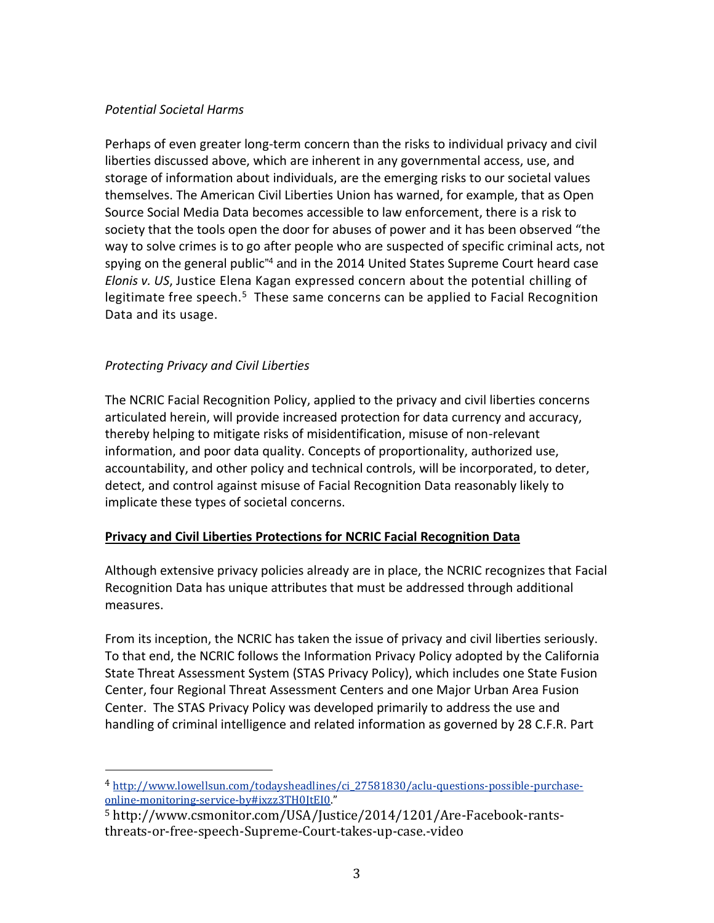#### *Potential Societal Harms*

Perhaps of even greater long-term concern than the risks to individual privacy and civil liberties discussed above, which are inherent in any governmental access, use, and storage of information about individuals, are the emerging risks to our societal values themselves. The American Civil Liberties Union has warned, for example, that as Open Source Social Media Data becomes accessible to law enforcement, there is a risk to society that the tools open the door for abuses of power and it has been observed "the way to solve crimes is to go after people who are suspected of specific criminal acts, not spying on the general public" <sup>4</sup> and in the 2014 United States Supreme Court heard case *Elonis v. US*, Justice Elena Kagan expressed concern about the potential chilling of legitimate free speech.<sup>5</sup> These same concerns can be applied to Facial Recognition Data and its usage.

## *Protecting Privacy and Civil Liberties*

 $\overline{\phantom{a}}$ 

The NCRIC Facial Recognition Policy, applied to the privacy and civil liberties concerns articulated herein, will provide increased protection for data currency and accuracy, thereby helping to mitigate risks of misidentification, misuse of non-relevant information, and poor data quality. Concepts of proportionality, authorized use, accountability, and other policy and technical controls, will be incorporated, to deter, detect, and control against misuse of Facial Recognition Data reasonably likely to implicate these types of societal concerns.

### **Privacy and Civil Liberties Protections for NCRIC Facial Recognition Data**

Although extensive privacy policies already are in place, the NCRIC recognizes that Facial Recognition Data has unique attributes that must be addressed through additional measures.

From its inception, the NCRIC has taken the issue of privacy and civil liberties seriously. To that end, the NCRIC follows the Information Privacy Policy adopted by the California State Threat Assessment System (STAS Privacy Policy), which includes one State Fusion Center, four Regional Threat Assessment Centers and one Major Urban Area Fusion Center. The STAS Privacy Policy was developed primarily to address the use and handling of criminal intelligence and related information as governed by 28 C.F.R. Part

<sup>4</sup> [http://www.lowellsun.com/todaysheadlines/ci\\_27581830/aclu-questions-possible-purchase](http://www.lowellsun.com/todaysheadlines/ci_27581830/aclu-questions-possible-purchase-online-monitoring-service-by#ixzz3TH0JtEI0)[online-monitoring-service-by#ixzz3TH0JtEI0](http://www.lowellsun.com/todaysheadlines/ci_27581830/aclu-questions-possible-purchase-online-monitoring-service-by#ixzz3TH0JtEI0)."

<sup>5</sup> http://www.csmonitor.com/USA/Justice/2014/1201/Are-Facebook-rantsthreats-or-free-speech-Supreme-Court-takes-up-case.-video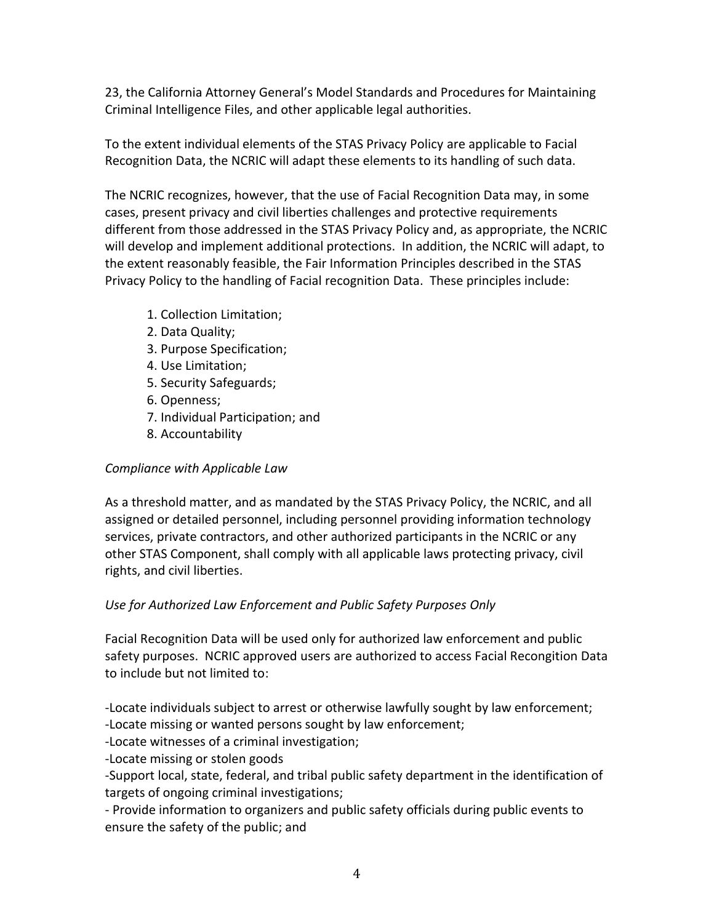23, the California Attorney General's Model Standards and Procedures for Maintaining Criminal Intelligence Files, and other applicable legal authorities.

To the extent individual elements of the STAS Privacy Policy are applicable to Facial Recognition Data, the NCRIC will adapt these elements to its handling of such data.

The NCRIC recognizes, however, that the use of Facial Recognition Data may, in some cases, present privacy and civil liberties challenges and protective requirements different from those addressed in the STAS Privacy Policy and, as appropriate, the NCRIC will develop and implement additional protections. In addition, the NCRIC will adapt, to the extent reasonably feasible, the Fair Information Principles described in the STAS Privacy Policy to the handling of Facial recognition Data. These principles include:

- 1. Collection Limitation;
- 2. Data Quality;
- 3. Purpose Specification;
- 4. Use Limitation;
- 5. Security Safeguards;
- 6. Openness;
- 7. Individual Participation; and
- 8. Accountability

## *Compliance with Applicable Law*

As a threshold matter, and as mandated by the STAS Privacy Policy, the NCRIC, and all assigned or detailed personnel, including personnel providing information technology services, private contractors, and other authorized participants in the NCRIC or any other STAS Component, shall comply with all applicable laws protecting privacy, civil rights, and civil liberties.

### *Use for Authorized Law Enforcement and Public Safety Purposes Only*

Facial Recognition Data will be used only for authorized law enforcement and public safety purposes. NCRIC approved users are authorized to access Facial Recongition Data to include but not limited to:

-Locate individuals subject to arrest or otherwise lawfully sought by law enforcement; -Locate missing or wanted persons sought by law enforcement;

-Locate witnesses of a criminal investigation;

-Locate missing or stolen goods

-Support local, state, federal, and tribal public safety department in the identification of targets of ongoing criminal investigations;

- Provide information to organizers and public safety officials during public events to ensure the safety of the public; and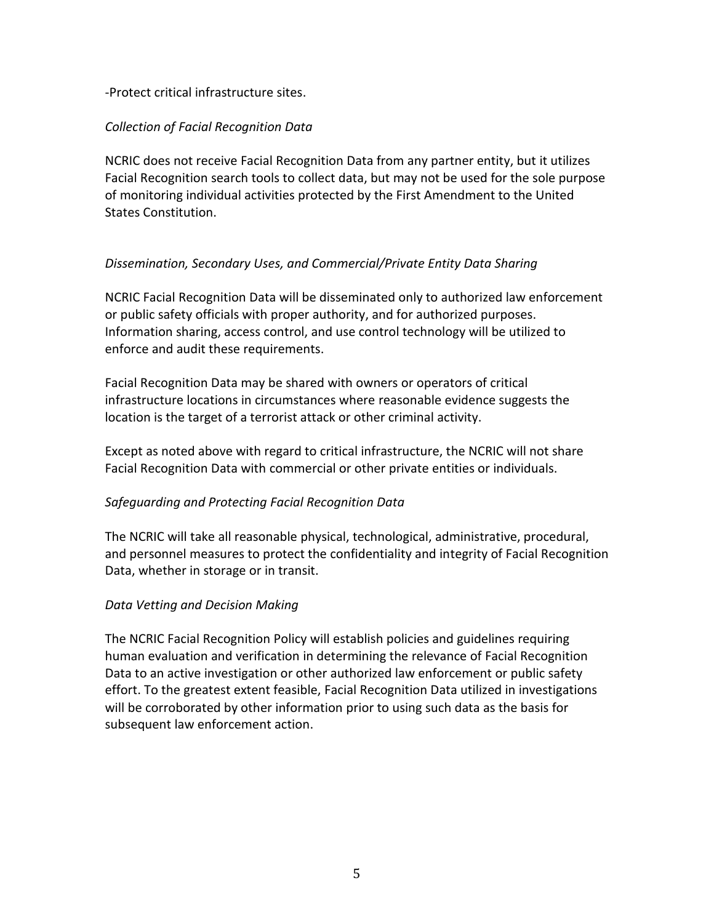### -Protect critical infrastructure sites.

#### *Collection of Facial Recognition Data*

NCRIC does not receive Facial Recognition Data from any partner entity, but it utilizes Facial Recognition search tools to collect data, but may not be used for the sole purpose of monitoring individual activities protected by the First Amendment to the United States Constitution.

### *Dissemination, Secondary Uses, and Commercial/Private Entity Data Sharing*

NCRIC Facial Recognition Data will be disseminated only to authorized law enforcement or public safety officials with proper authority, and for authorized purposes. Information sharing, access control, and use control technology will be utilized to enforce and audit these requirements.

Facial Recognition Data may be shared with owners or operators of critical infrastructure locations in circumstances where reasonable evidence suggests the location is the target of a terrorist attack or other criminal activity.

Except as noted above with regard to critical infrastructure, the NCRIC will not share Facial Recognition Data with commercial or other private entities or individuals.

### *Safeguarding and Protecting Facial Recognition Data*

The NCRIC will take all reasonable physical, technological, administrative, procedural, and personnel measures to protect the confidentiality and integrity of Facial Recognition Data, whether in storage or in transit.

#### *Data Vetting and Decision Making*

The NCRIC Facial Recognition Policy will establish policies and guidelines requiring human evaluation and verification in determining the relevance of Facial Recognition Data to an active investigation or other authorized law enforcement or public safety effort. To the greatest extent feasible, Facial Recognition Data utilized in investigations will be corroborated by other information prior to using such data as the basis for subsequent law enforcement action.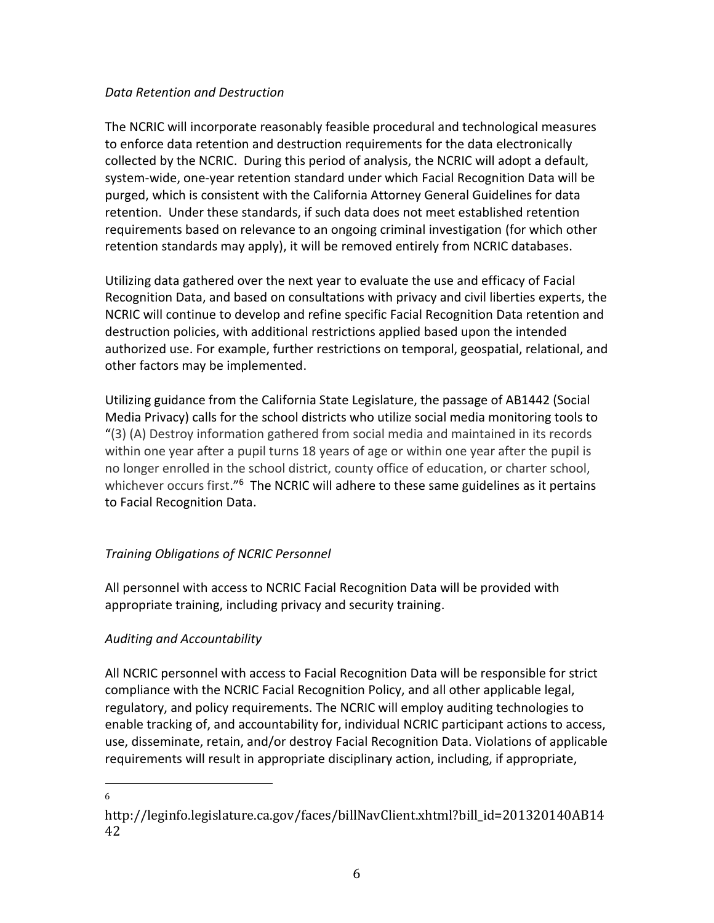#### *Data Retention and Destruction*

The NCRIC will incorporate reasonably feasible procedural and technological measures to enforce data retention and destruction requirements for the data electronically collected by the NCRIC. During this period of analysis, the NCRIC will adopt a default, system-wide, one-year retention standard under which Facial Recognition Data will be purged, which is consistent with the California Attorney General Guidelines for data retention. Under these standards, if such data does not meet established retention requirements based on relevance to an ongoing criminal investigation (for which other retention standards may apply), it will be removed entirely from NCRIC databases.

Utilizing data gathered over the next year to evaluate the use and efficacy of Facial Recognition Data, and based on consultations with privacy and civil liberties experts, the NCRIC will continue to develop and refine specific Facial Recognition Data retention and destruction policies, with additional restrictions applied based upon the intended authorized use. For example, further restrictions on temporal, geospatial, relational, and other factors may be implemented.

Utilizing guidance from the California State Legislature, the passage of AB1442 (Social Media Privacy) calls for the school districts who utilize social media monitoring tools to "(3) (A) Destroy information gathered from social media and maintained in its records within one year after a pupil turns 18 years of age or within one year after the pupil is no longer enrolled in the school district, county office of education, or charter school, whichever occurs first."<sup>6</sup> The NCRIC will adhere to these same guidelines as it pertains to Facial Recognition Data.

## *Training Obligations of NCRIC Personnel*

All personnel with access to NCRIC Facial Recognition Data will be provided with appropriate training, including privacy and security training.

### *Auditing and Accountability*

All NCRIC personnel with access to Facial Recognition Data will be responsible for strict compliance with the NCRIC Facial Recognition Policy, and all other applicable legal, regulatory, and policy requirements. The NCRIC will employ auditing technologies to enable tracking of, and accountability for, individual NCRIC participant actions to access, use, disseminate, retain, and/or destroy Facial Recognition Data. Violations of applicable requirements will result in appropriate disciplinary action, including, if appropriate,

 $\overline{\phantom{a}}$ 6

http://leginfo.legislature.ca.gov/faces/billNavClient.xhtml?bill\_id=201320140AB14 42